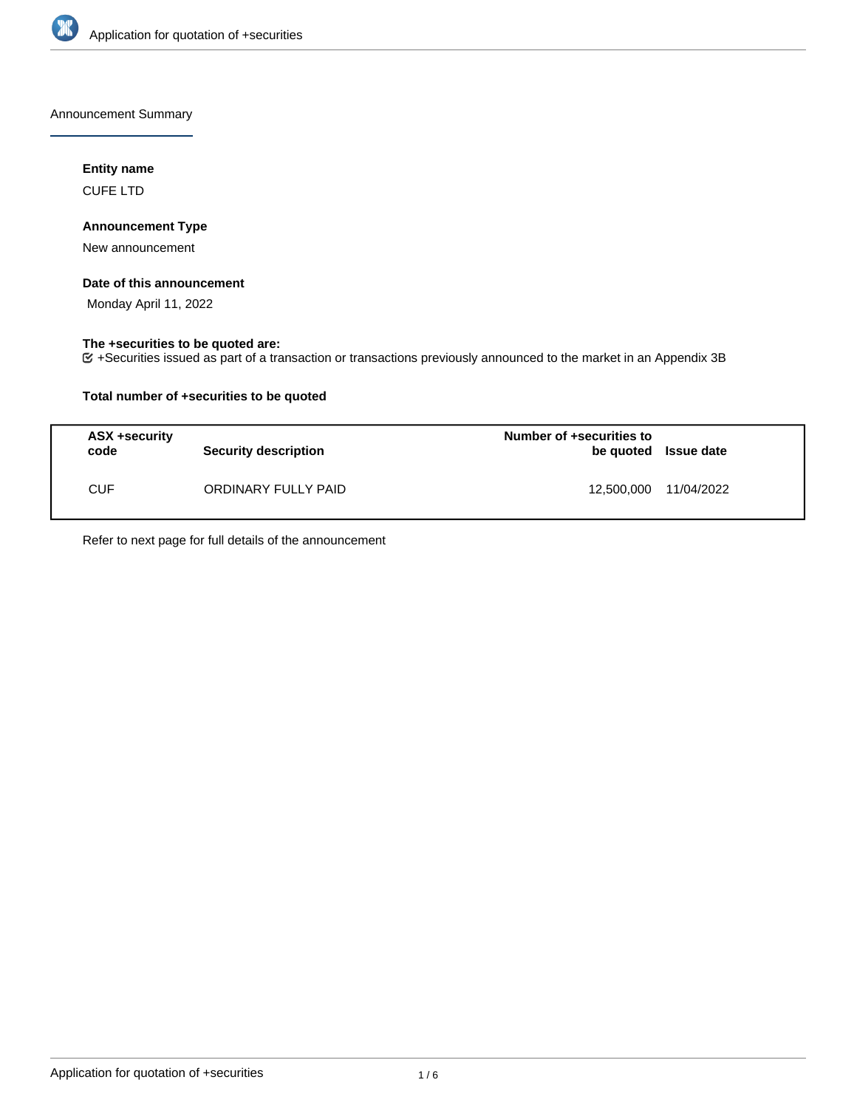

Announcement Summary

# **Entity name**

CUFE LTD

# **Announcement Type**

New announcement

#### **Date of this announcement**

Monday April 11, 2022

## **The +securities to be quoted are:**

+Securities issued as part of a transaction or transactions previously announced to the market in an Appendix 3B

## **Total number of +securities to be quoted**

| <b>ASX +security</b><br>code | <b>Security description</b> | Number of +securities to<br>be quoted Issue date |            |
|------------------------------|-----------------------------|--------------------------------------------------|------------|
| CUF                          | ORDINARY FULLY PAID         | 12,500,000                                       | 11/04/2022 |

Refer to next page for full details of the announcement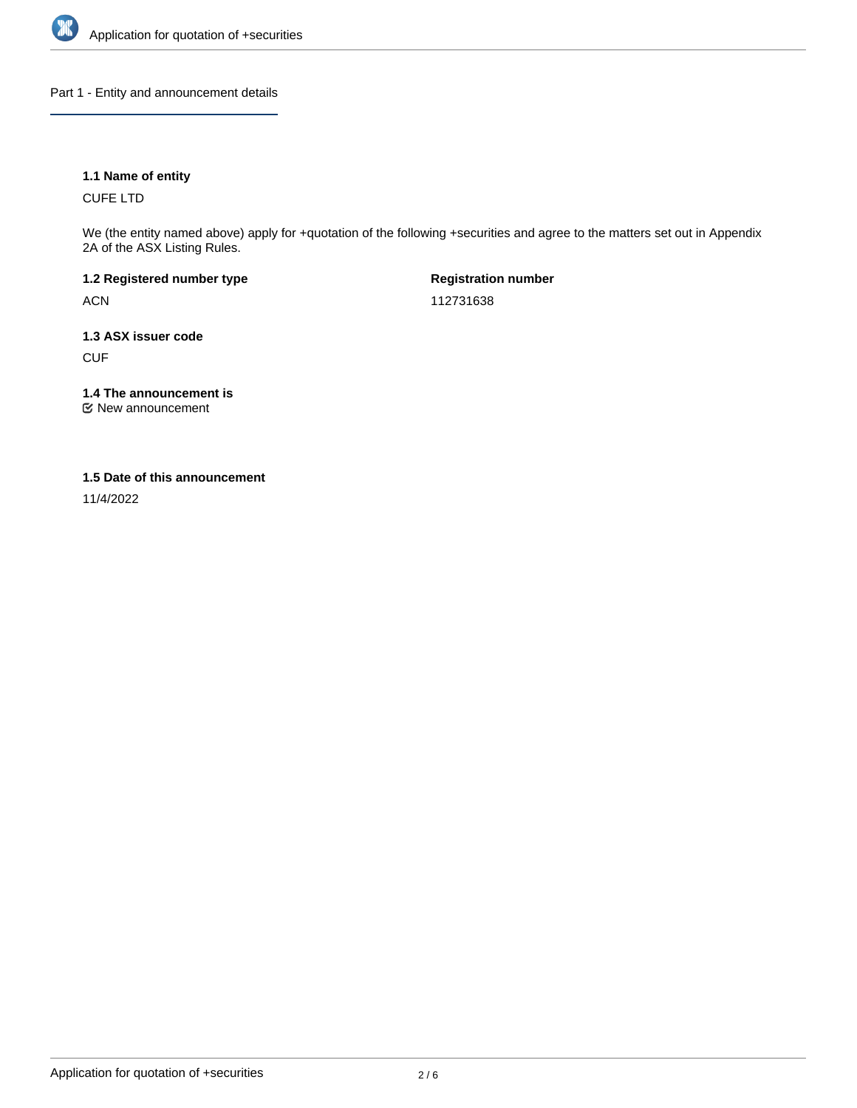

Part 1 - Entity and announcement details

## **1.1 Name of entity**

CUFE LTD

We (the entity named above) apply for +quotation of the following +securities and agree to the matters set out in Appendix 2A of the ASX Listing Rules.

**1.2 Registered number type** ACN

**Registration number** 112731638

**1.3 ASX issuer code** CUF

**1.4 The announcement is**

New announcement

#### **1.5 Date of this announcement**

11/4/2022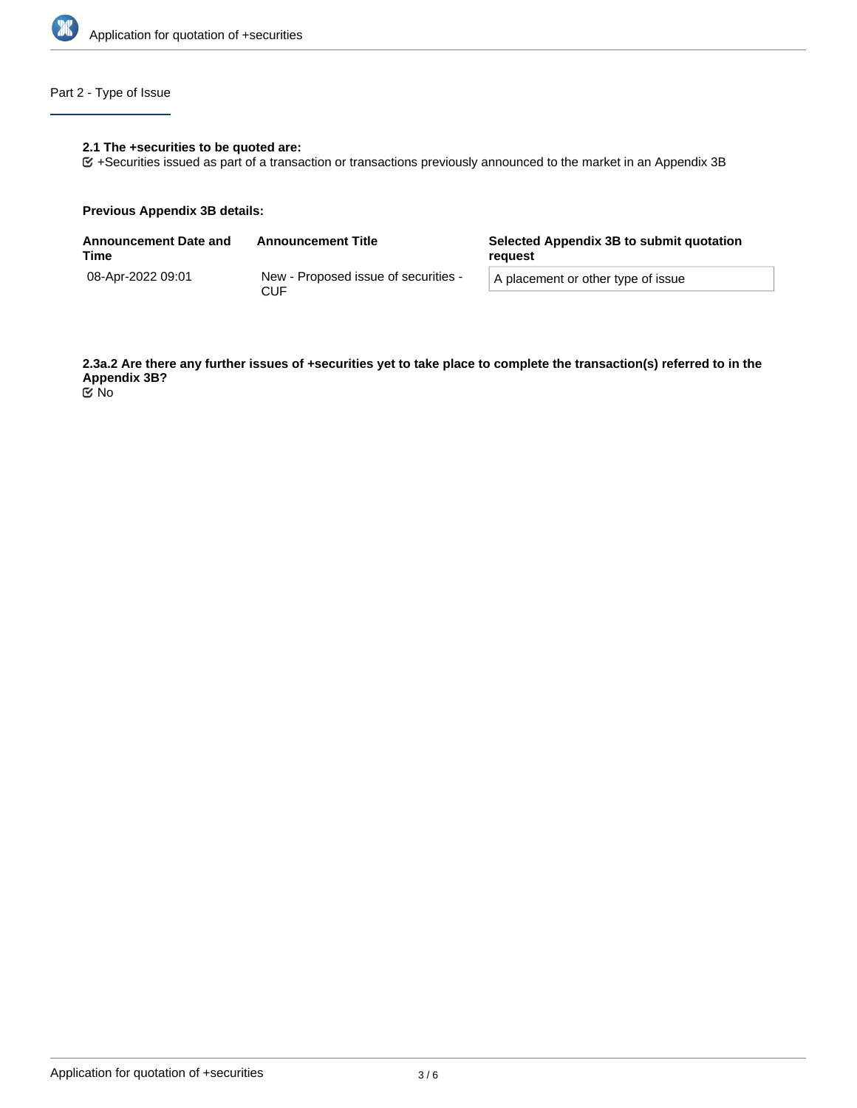

# Part 2 - Type of Issue

## **2.1 The +securities to be quoted are:**

+Securities issued as part of a transaction or transactions previously announced to the market in an Appendix 3B

#### **Previous Appendix 3B details:**

| <b>Announcement Date and</b><br>Time | <b>Announcement Title</b>                   | Selected Appendix 3B to submit quotation<br>reguest |  |
|--------------------------------------|---------------------------------------------|-----------------------------------------------------|--|
| 08-Apr-2022 09:01                    | New - Proposed issue of securities -<br>CUF | A placement or other type of issue                  |  |

**2.3a.2 Are there any further issues of +securities yet to take place to complete the transaction(s) referred to in the Appendix 3B?**

No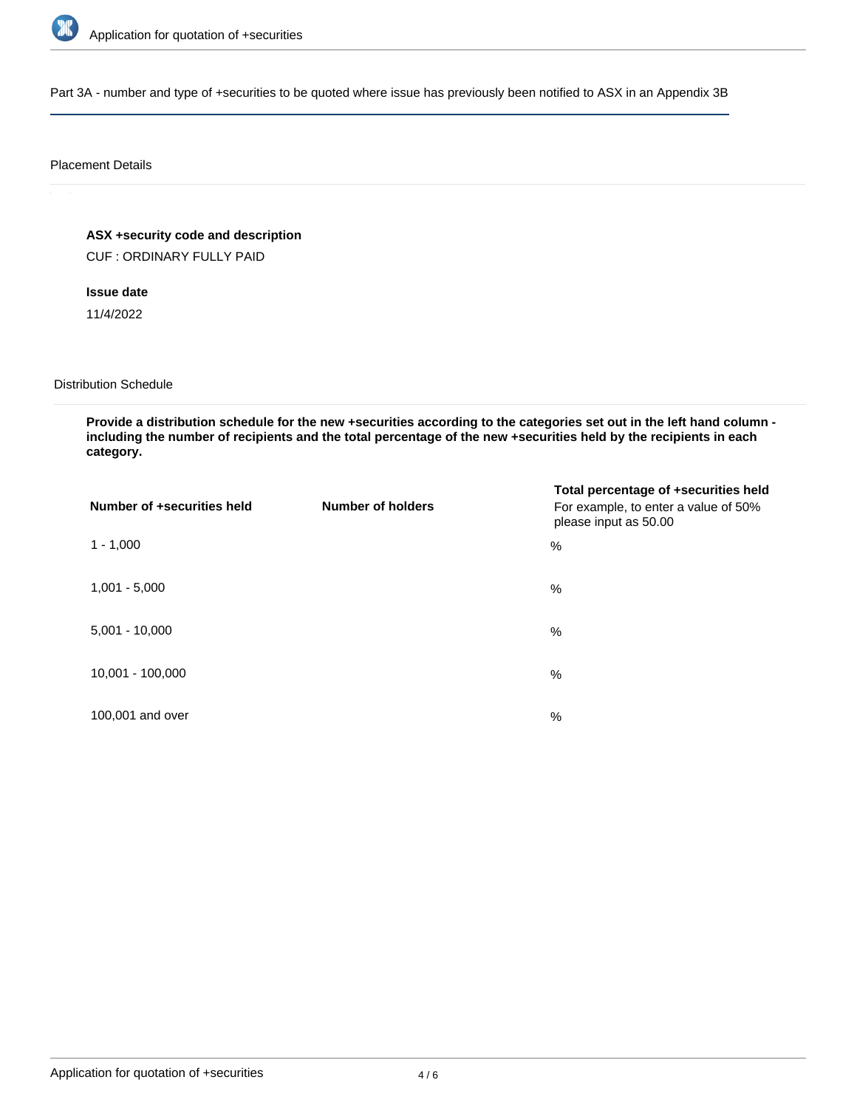

Part 3A - number and type of +securities to be quoted where issue has previously been notified to ASX in an Appendix 3B

#### Placement Details

# **ASX +security code and description**

CUF : ORDINARY FULLY PAID

## **Issue date**

11/4/2022

## Distribution Schedule

**Provide a distribution schedule for the new +securities according to the categories set out in the left hand column including the number of recipients and the total percentage of the new +securities held by the recipients in each category.**

| Number of +securities held | <b>Number of holders</b> | Total percentage of +securities held<br>For example, to enter a value of 50%<br>please input as 50.00 |
|----------------------------|--------------------------|-------------------------------------------------------------------------------------------------------|
| $1 - 1,000$                |                          | $\%$                                                                                                  |
| $1,001 - 5,000$            |                          | $\%$                                                                                                  |
| $5,001 - 10,000$           |                          | $\%$                                                                                                  |
| 10,001 - 100,000           |                          | $\%$                                                                                                  |
| 100,001 and over           |                          | $\%$                                                                                                  |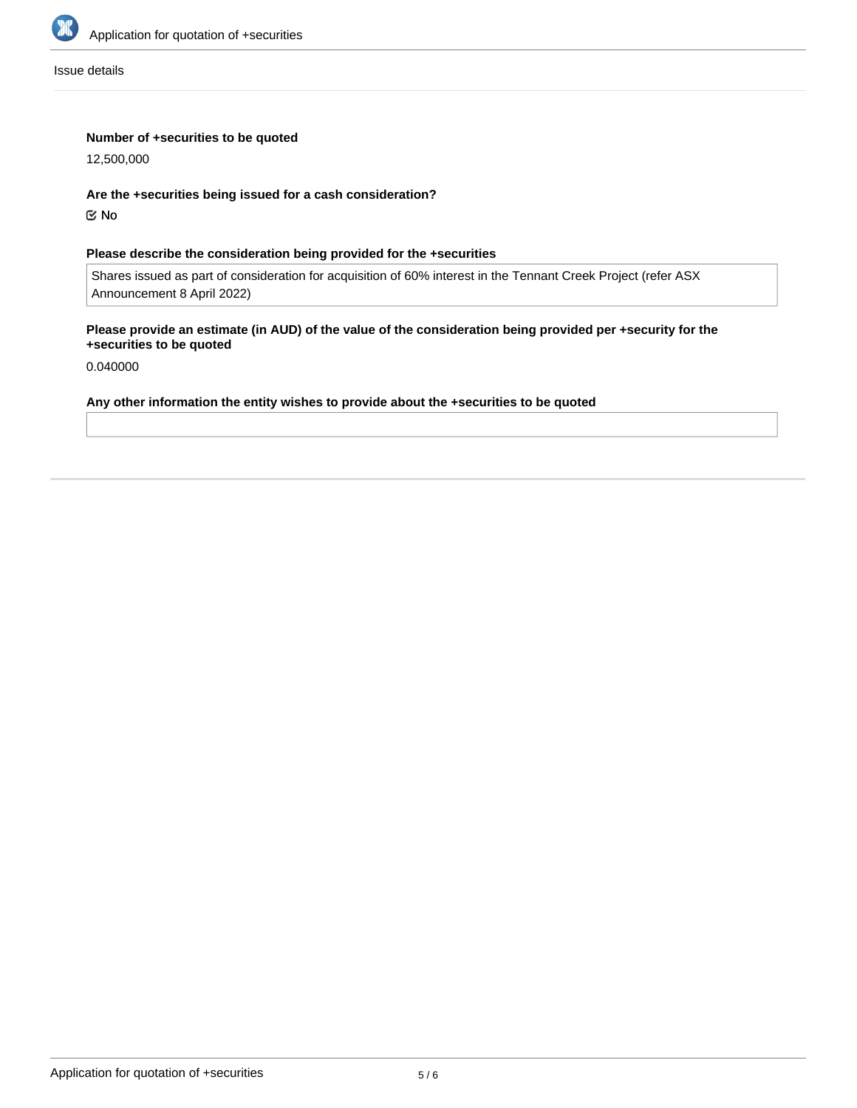

Issue details

## **Number of +securities to be quoted**

12,500,000

**Are the +securities being issued for a cash consideration?**

No

## **Please describe the consideration being provided for the +securities**

Shares issued as part of consideration for acquisition of 60% interest in the Tennant Creek Project (refer ASX Announcement 8 April 2022)

## **Please provide an estimate (in AUD) of the value of the consideration being provided per +security for the +securities to be quoted**

0.040000

#### **Any other information the entity wishes to provide about the +securities to be quoted**